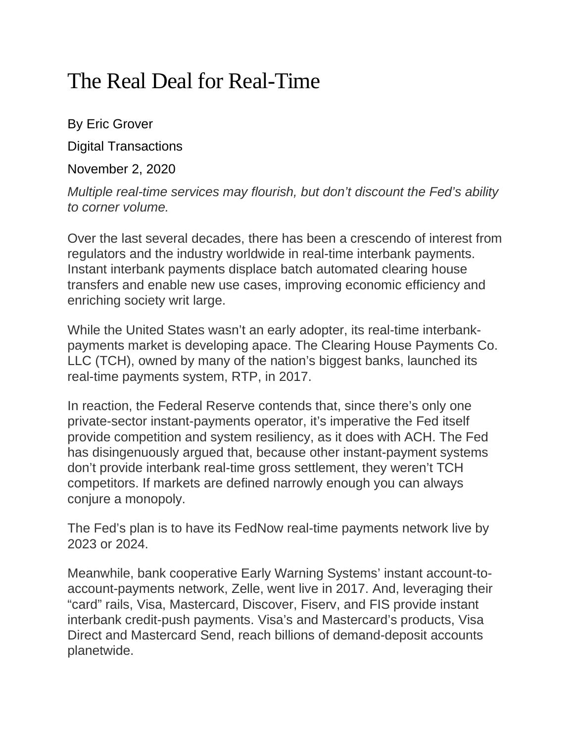## The Real Deal for Real-Time

By Eric Grover

Digital Transactions

November 2, 2020

*Multiple real-time services may flourish, but don't discount the Fed's ability to corner volume.*

Over the last several decades, there has been a crescendo of interest from regulators and the industry worldwide in real-time interbank payments. Instant interbank payments displace batch automated clearing house transfers and enable new use cases, improving economic efficiency and enriching society writ large.

While the United States wasn't an early adopter, its real-time interbankpayments market is developing apace. The Clearing House Payments Co. LLC (TCH), owned by many of the nation's biggest banks, launched its real-time payments system, RTP, in 2017.

In reaction, the Federal Reserve contends that, since there's only one private-sector instant-payments operator, it's imperative the Fed itself provide competition and system resiliency, as it does with ACH. The Fed has disingenuously argued that, because other instant-payment systems don't provide interbank real-time gross settlement, they weren't TCH competitors. If markets are defined narrowly enough you can always conjure a monopoly.

The Fed's plan is to have its FedNow real-time payments network live by 2023 or 2024.

Meanwhile, bank cooperative Early Warning Systems' instant account-toaccount-payments network, Zelle, went live in 2017. And, leveraging their "card" rails, Visa, Mastercard, Discover, Fiserv, and FIS provide instant interbank credit-push payments. Visa's and Mastercard's products, Visa Direct and Mastercard Send, reach billions of demand-deposit accounts planetwide.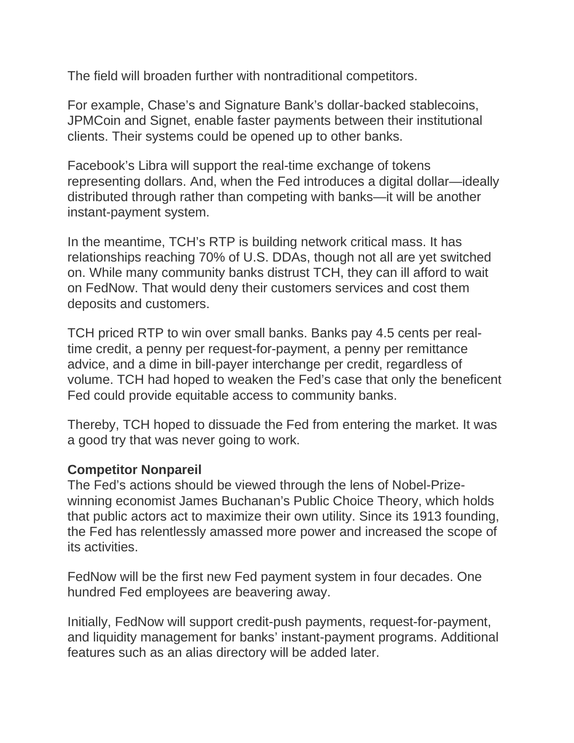The field will broaden further with nontraditional competitors.

For example, Chase's and Signature Bank's dollar-backed stablecoins, JPMCoin and Signet, enable faster payments between their institutional clients. Their systems could be opened up to other banks.

Facebook's Libra will support the real-time exchange of tokens representing dollars. And, when the Fed introduces a digital dollar—ideally distributed through rather than competing with banks—it will be another instant-payment system.

In the meantime, TCH's RTP is building network critical mass. It has relationships reaching 70% of U.S. DDAs, though not all are yet switched on. While many community banks distrust TCH, they can ill afford to wait on FedNow. That would deny their customers services and cost them deposits and customers.

TCH priced RTP to win over small banks. Banks pay 4.5 cents per realtime credit, a penny per request-for-payment, a penny per remittance advice, and a dime in bill-payer interchange per credit, regardless of volume. TCH had hoped to weaken the Fed's case that only the beneficent Fed could provide equitable access to community banks.

Thereby, TCH hoped to dissuade the Fed from entering the market. It was a good try that was never going to work.

## **Competitor Nonpareil**

The Fed's actions should be viewed through the lens of Nobel-Prizewinning economist James Buchanan's Public Choice Theory, which holds that public actors act to maximize their own utility. Since its 1913 founding, the Fed has relentlessly amassed more power and increased the scope of its activities.

FedNow will be the first new Fed payment system in four decades. One hundred Fed employees are beavering away.

Initially, FedNow will support credit-push payments, request-for-payment, and liquidity management for banks' instant-payment programs. Additional features such as an alias directory will be added later.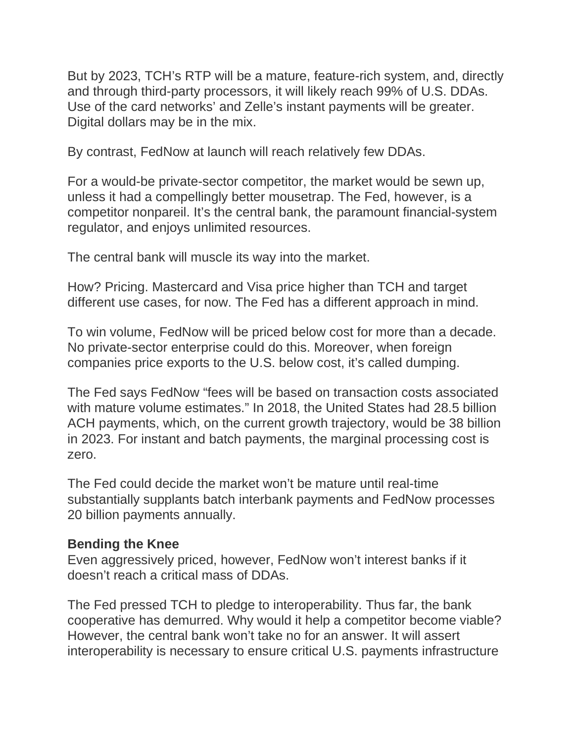But by 2023, TCH's RTP will be a mature, feature-rich system, and, directly and through third-party processors, it will likely reach 99% of U.S. DDAs. Use of the card networks' and Zelle's instant payments will be greater. Digital dollars may be in the mix.

By contrast, FedNow at launch will reach relatively few DDAs.

For a would-be private-sector competitor, the market would be sewn up, unless it had a compellingly better mousetrap. The Fed, however, is a competitor nonpareil. It's the central bank, the paramount financial-system regulator, and enjoys unlimited resources.

The central bank will muscle its way into the market.

How? Pricing. Mastercard and Visa price higher than TCH and target different use cases, for now. The Fed has a different approach in mind.

To win volume, FedNow will be priced below cost for more than a decade. No private-sector enterprise could do this. Moreover, when foreign companies price exports to the U.S. below cost, it's called dumping.

The Fed says FedNow "fees will be based on transaction costs associated with mature volume estimates." In 2018, the United States had 28.5 billion ACH payments, which, on the current growth trajectory, would be 38 billion in 2023. For instant and batch payments, the marginal processing cost is zero.

The Fed could decide the market won't be mature until real-time substantially supplants batch interbank payments and FedNow processes 20 billion payments annually.

## **Bending the Knee**

Even aggressively priced, however, FedNow won't interest banks if it doesn't reach a critical mass of DDAs.

The Fed pressed TCH to pledge to interoperability. Thus far, the bank cooperative has demurred. Why would it help a competitor become viable? However, the central bank won't take no for an answer. It will assert interoperability is necessary to ensure critical U.S. payments infrastructure